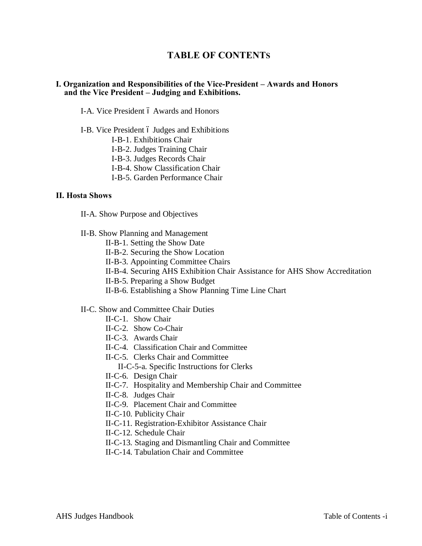# **TABLE OF CONTENTS**

### **I. Organization and Responsibilities of the Vice-President – Awards and Honors and the Vice President – Judging and Exhibitions.**

- I-A. Vice President 6 Awards and Honors
- I-B. Vice President 6 Judges and Exhibitions
	- I-B-1. Exhibitions Chair
	- I-B-2. Judges Training Chair
	- I-B-3. Judges Records Chair
	- I-B-4. Show Classification Chair
	- I-B-5. Garden Performance Chair

### **II. Hosta Shows**

- II-A. Show Purpose and Objectives
- II-B. Show Planning and Management
	- II-B-1. Setting the Show Date
	- II-B-2. Securing the Show Location
	- II-B-3. Appointing Committee Chairs
	- II-B-4. Securing AHS Exhibition Chair Assistance for AHS Show Accreditation
	- II-B-5. Preparing a Show Budget
	- II-B-6. Establishing a Show Planning Time Line Chart

#### II-C. Show and Committee Chair Duties

- II-C-1. Show Chair
- II-C-2. Show Co-Chair
- II-C-3. Awards Chair
- II-C-4. Classification Chair and Committee
- II-C-5. Clerks Chair and Committee
	- II-C-5-a. Specific Instructions for Clerks
- II-C-6. Design Chair
- II-C-7. Hospitality and Membership Chair and Committee
- II-C-8. Judges Chair
- II-C-9. Placement Chair and Committee
- II-C-10. Publicity Chair
- II-C-11. Registration-Exhibitor Assistance Chair
- II-C-12. Schedule Chair
- II-C-13. Staging and Dismantling Chair and Committee
- II-C-14. Tabulation Chair and Committee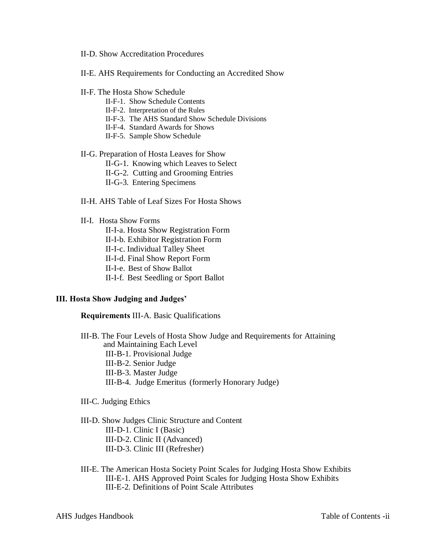- II-D. Show Accreditation Procedures
- II-E. AHS Requirements for Conducting an Accredited Show
- II-F. The Hosta Show Schedule
	- II-F-1. Show Schedule Contents
	- II-F-2. Interpretation of the Rules
	- II-F-3. The AHS Standard Show Schedule Divisions
	- II-F-4. Standard Awards for Shows
	- II-F-5. Sample Show Schedule

#### II-G. Preparation of Hosta Leaves for Show

- II-G-1. Knowing which Leaves to Select
- II-G-2. Cutting and Grooming Entries
- II-G-3. Entering Specimens
- II-H. AHS Table of Leaf Sizes For Hosta Shows

#### II-I. Hosta Show Forms

- II-I-a. Hosta Show Registration Form
- II-I-b. Exhibitor Registration Form
- II-I-c. Individual Talley Sheet
- II-I-d. Final Show Report Form
- II-I-e. Best of Show Ballot
- II-I-f. Best Seedling or Sport Ballot

#### **III. Hosta Show Judging and Judges'**

#### **Requirements** III-A. Basic Qualifications

- III-B. The Four Levels of Hosta Show Judge and Requirements for Attaining and Maintaining Each Level
	- III-B-1. Provisional Judge
	- III-B-2. Senior Judge
	- III-B-3. Master Judge
	- III-B-4. Judge Emeritus (formerly Honorary Judge)

#### III-C. Judging Ethics

# III-D. Show Judges Clinic Structure and Content

- III-D-1. Clinic I (Basic)
- III-D-2. Clinic II (Advanced)
- III-D-3. Clinic III (Refresher)
- III-E. The American Hosta Society Point Scales for Judging Hosta Show Exhibits III-E-1. AHS Approved Point Scales for Judging Hosta Show Exhibits III-E-2. Definitions of Point Scale Attributes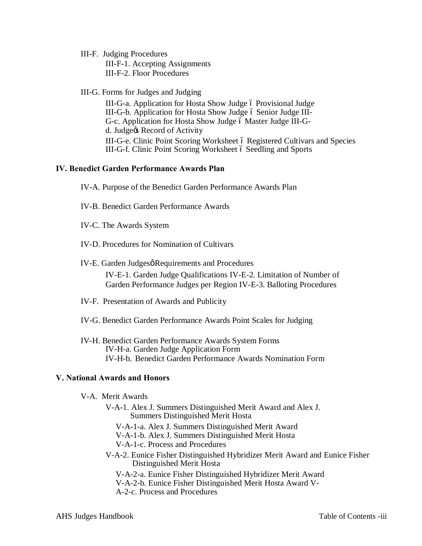### III-F. Judging Procedures

III-F-1. Accepting Assignments III-F-2. Floor Procedures

# III-G. Forms for Judges and Judging

III-G-a. Application for Hosta Show Judge ó Provisional Judge III-G-b. Application for Hosta Show Judge of Senior Judge III-G-c. Application for Hosta Show Judge ó Master Judge III-Gd. Judge $\alpha$  Record of Activity III-G-e. Clinic Point Scoring Worksheet 6 Registered Cultivars and Species III-G-f. Clinic Point Scoring Worksheet 6 Seedling and Sports

# **IV. Benedict Garden Performance Awards Plan**

IV-A. Purpose of the Benedict Garden Performance Awards Plan

- IV-B. Benedict Garden Performance Awards
- IV-C. The Awards System
- IV-D. Procedures for Nomination of Cultivars
- IV-E. Garden Judgesø Requirements and Procedures

IV-E-1. Garden Judge Qualifications IV-E-2. Limitation of Number of Garden Performance Judges per Region IV-E-3. Balloting Procedures

- IV-F. Presentation of Awards and Publicity
- IV-G. Benedict Garden Performance Awards Point Scales for Judging
- IV-H. Benedict Garden Performance Awards System Forms IV-H-a. Garden Judge Application Form IV-H-b. Benedict Garden Performance Awards Nomination Form

# **V. National Awards and Honors**

- V-A. Merit Awards
	- V-A-1. Alex J. Summers Distinguished Merit Award and Alex J. Summers Distinguished Merit Hosta
		- V-A-1-a. Alex J. Summers Distinguished Merit Award
		- V-A-1-b. Alex J. Summers Distinguished Merit Hosta

V-A-1-c. Process and Procedures

V-A-2. Eunice Fisher Distinguished Hybridizer Merit Award and Eunice Fisher Distinguished Merit Hosta

V-A-2-a. Eunice Fisher Distinguished Hybridizer Merit Award V-A-2-b. Eunice Fisher Distinguished Merit Hosta Award V-A-2-c. Process and Procedures